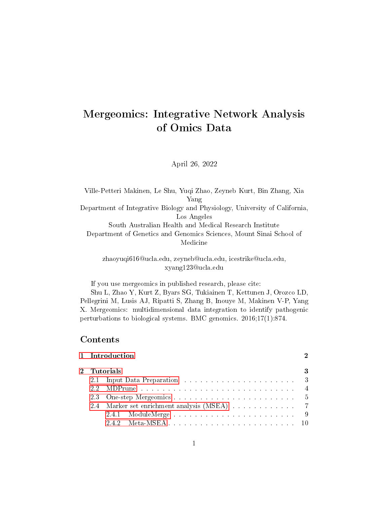# Mergeomics: Integrative Network Analysis of Omics Data

## April 26, 2022

Ville-Petteri Makinen, Le Shu, Yuqi Zhao, Zeyneb Kurt, Bin Zhang, Xia Yang Department of Integrative Biology and Physiology, University of California, Los Angeles South Australian Health and Medical Research Institute Department of Genetics and Genomics Sciences, Mount Sinai School of Medicine

> zhaoyuqi616@ucla.edu, zeyneb@ucla.edu, icestrike@ucla.edu, xyang123@ucla.edu

If you use mergeomics in published research, please cite:

Shu L, Zhao Y, Kurt Z, Byars SG, Tukiainen T, Kettunen J, Orozco LD, Pellegrini M, Lusis AJ, Ripatti S, Zhang B, Inouye M, Makinen V-P, Yang X. Mergeomics: multidimensional data integration to identify pathogenic perturbations to biological systems. BMC genomics. 2016;17(1):874.

# Contents

|             | 1 Introduction |  |  |  |  |  |
|-------------|----------------|--|--|--|--|--|
| 2 Tutorials |                |  |  |  |  |  |
|             |                |  |  |  |  |  |
|             |                |  |  |  |  |  |
|             |                |  |  |  |  |  |
|             |                |  |  |  |  |  |
|             |                |  |  |  |  |  |
|             |                |  |  |  |  |  |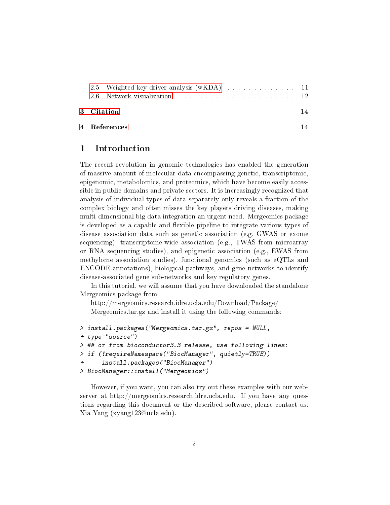| 2.5 Weighted key driver analysis (wKDA) 11<br>2.6 Network visualization experience in the series of the series of the series of the series of the series of the series of the series of the series of the series of the series of the series of the series of the series of |    |
|-----------------------------------------------------------------------------------------------------------------------------------------------------------------------------------------------------------------------------------------------------------------------------|----|
| 3 Citation                                                                                                                                                                                                                                                                  | 14 |
| 4 References                                                                                                                                                                                                                                                                |    |

## <span id="page-1-0"></span>1 Introduction

The recent revolution in genomic technologies has enabled the generation of massive amount of molecular data encompassing genetic, transcriptomic, epigenomic, metabolomics, and proteomics, which have become easily accessible in public domains and private sectors. It is increasingly recognized that analysis of individual types of data separately only reveals a fraction of the complex biology and often misses the key players driving diseases, making multi-dimensional big data integration an urgent need. Mergeomics package is developed as a capable and flexible pipeline to integrate various types of disease association data such as genetic association (e.g, GWAS or exome sequencing), transcriptome-wide association (e.g., TWAS from microarray or RNA sequencing studies), and epigenetic association (e.g., EWAS from methylome association studies), functional genomics (such as eQTLs and ENCODE annotations), biological pathways, and gene networks to identify disease-associated gene sub-networks and key regulatory genes.

In this tutorial, we will assume that you have downloaded the standalone Mergeomics package from

http://mergeomics.research.idre.ucla.edu/Download/Package/

Mergeomics.tar.gz and install it using the following commands:

```
> install.packages("Mergeomics.tar.gz", repos = NULL,
+ type="source")
> ## or from bioconductor3.3 release, use following lines:
> if (!requireNamespace("BiocManager", quietly=TRUE))
+ install.packages("BiocManager")
> BiocManager::install("Mergeomics")
```
However, if you want, you can also try out these examples with our webserver at http://mergeomics.research.idre.ucla.edu. If you have any questions regarding this document or the described software, please contact us: Xia Yang (xyang123@ucla.edu).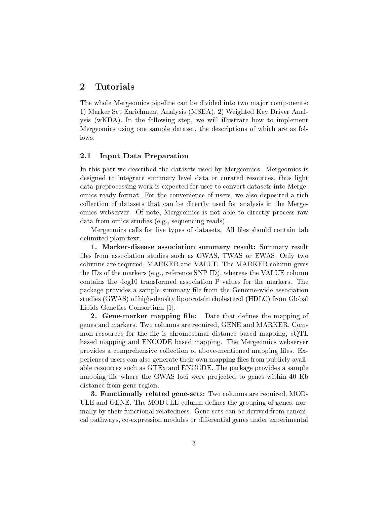## <span id="page-2-0"></span>2 Tutorials

The whole Mergeomics pipeline can be divided into two major components: 1) Marker Set Enrichment Analysis (MSEA), 2) Weighted Key Driver Analysis (wKDA). In the following step, we will illustrate how to implement Mergeomics using one sample dataset, the descriptions of which are as follows.

### <span id="page-2-1"></span>2.1 Input Data Preparation

In this part we described the datasets used by Mergeomics. Mergeomics is designed to integrate summary level data or curated resources, thus light data-preprocessing work is expected for user to convert datasets into Mergeomics ready format. For the convenience of users, we also deposited a rich collection of datasets that can be directly used for analysis in the Mergeomics webserver. Of note, Mergeomics is not able to directly process raw data from omics studies (e.g., sequencing reads).

Mergeomics calls for five types of datasets. All files should contain tab delimited plain text.

1. Marker-disease association summary result: Summary result files from association studies such as GWAS, TWAS or EWAS. Only two columns are required, MARKER and VALUE. The MARKER column gives the IDs of the markers (e.g., reference SNP ID), whereas the VALUE column contains the -log10 transformed association P values for the markers. The package provides a sample summary file from the Genome-wide association studies (GWAS) of high-density lipoprotein cholesterol (HDLC) from Global Lipids Genetics Consortium [1].

**2. Gene-marker mapping file:** Data that defines the mapping of genes and markers. Two columns are required, GENE and MARKER. Common resources for the file is chromosomal distance based mapping, eQTL based mapping and ENCODE based mapping. The Mergeomics webserver provides a comprehensive collection of above-mentioned mapping files. Experienced users can also generate their own mapping files from publicly available resources such as GTEx and ENCODE. The package provides a sample mapping file where the GWAS loci were projected to genes within 40 Kb distance from gene region.

3. Functionally related gene-sets: Two columns are required, MOD-ULE and GENE. The MODULE column defines the grouping of genes, normally by their functional relatedness. Gene-sets can be derived from canonical pathways, co-expression modules or differential genes under experimental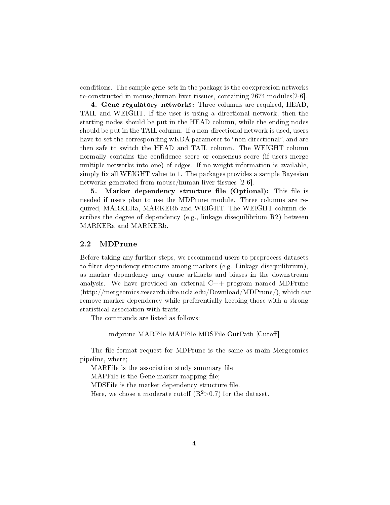conditions. The sample gene-sets in the package is the coexpression networks re-constructed in mouse/human liver tissues, containing 2674 modules[2-6].

4. Gene regulatory networks: Three columns are required, HEAD, TAIL and WEIGHT. If the user is using a directional network, then the starting nodes should be put in the HEAD column, while the ending nodes should be put in the TAIL column. If a non-directional network is used, users have to set the corresponding wKDA parameter to "non-directional", and are then safe to switch the HEAD and TAIL column. The WEIGHT column normally contains the confidence score or consensus score (if users merge multiple networks into one) of edges. If no weight information is available, simply fix all WEIGHT value to 1. The packages provides a sample Bayesian networks generated from mouse/human liver tissues [2-6].

5. Marker dependency structure file (Optional): This file is needed if users plan to use the MDPrune module. Three columns are required, MARKERa, MARKERb and WEIGHT. The WEIGHT column describes the degree of dependency (e.g., linkage disequilibrium R2) between MARKERa and MARKERb.

#### <span id="page-3-0"></span>2.2 MDPrune

Before taking any further steps, we recommend users to preprocess datasets to filter dependency structure among markers (e.g. Linkage disequilibrium), as marker dependency may cause artifacts and biases in the downstream analysis. We have provided an external  $C_{++}$  program named MDPrune (http://mergeomics.research.idre.ucla.edu/Download/MDPrune/), which can remove marker dependency while preferentially keeping those with a strong statistical association with traits.

The commands are listed as follows:

#### mdprune MARFile MAPFile MDSFile OutPath [Cutoff]

The file format request for MDPrune is the same as main Mergeomics pipeline, where;

MARFile is the association study summary file MAPFile is the Gene-marker mapping file;

MDSFile is the marker dependency structure file.

Here, we chose a moderate cutoff  $(R^2>0.7)$  for the dataset.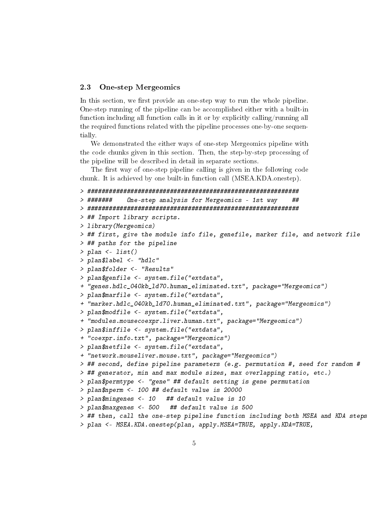#### <span id="page-4-0"></span>2.3 One-step Mergeomics

In this section, we first provide an one-step way to run the whole pipeline. One-step running of the pipeline can be accomplished either with a built-in function including all function calls in it or by explicitly calling/running all the required functions related with the pipeline processes one-by-one sequentially.

We demonstrated the either ways of one-step Mergeomics pipeline with the code chunks given in this section. Then, the step-by-step processing of the pipeline will be described in detail in separate sections.

The first way of one-step pipeline calling is given in the following code chunk. It is achieved by one built-in function call (MSEA.KDA.onestep).

```
> ###########################################################
> ####### One-step analysis for Mergeomics - 1st way ##
```

```
> ###########################################################
> ## Import library scripts.
> library(Mergeomics)
> ## first, give the module info file, genefile, marker file, and network file
> ## paths for the pipeline
> plan <- list()
> plan$label <- "hdlc"
> plan$folder <- "Results"
> plan$genfile <- system.file("extdata",
+ "genes.hdlc_040kb_ld70.human_eliminated.txt", package="Mergeomics")
> plan$marfile <- system.file("extdata",
+ "marker.hdlc_040kb_ld70.human_eliminated.txt", package="Mergeomics")
> plan$modfile <- system.file("extdata",
+ "modules.mousecoexpr.liver.human.txt", package="Mergeomics")
> plan$inffile <- system.file("extdata",
+ "coexpr.info.txt", package="Mergeomics")
> plan$netfile <- system.file("extdata",
+ "network.mouseliver.mouse.txt", package="Mergeomics")
> ## second, define pipeline parameters (e.g. permutation #, seed for random #
> ## generator, min and max module sizes, max overlapping ratio, etc.)
> plan$permtype <- "gene" ## default setting is gene permutation
> plan$nperm <- 100 ## default value is 20000
> plan$mingenes <- 10 ## default value is 10
> plan$maxgenes <- 500 ## default value is 500
> ## then, call the one-step pipeline function including both MSEA and KDA steps
> plan <- MSEA.KDA.onestep(plan, apply.MSEA=TRUE, apply.KDA=TRUE,
```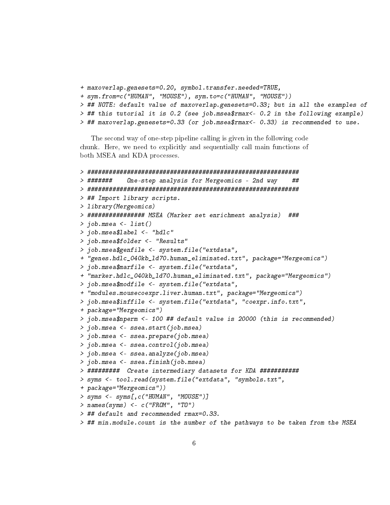```
+ maxoverlap.genesets=0.20, symbol.transfer.needed=TRUE,
+ sym.from=c("HUMAN", "MOUSE"), sym.to=c("HUMAN", "MOUSE"))
> ## NOTE: default value of maxoverlap.genesets=0.33; but in all the examples of
> ## this tutorial it is 0.2 (see job.msea$rmax<- 0.2 in the following example)
> ## maxoverlap.genesets=0.33 (or job.msea$rmax<- 0.33) is recommended to use.
```
The second way of one-step pipeline calling is given in the following code chunk. Here, we need to explicitly and sequentially call main functions of both MSEA and KDA processes.

```
> ###########################################################
> ####### One-step analysis for Mergeomics - 2nd way ##
> ###########################################################
> ## Import library scripts.
> library(Mergeomics)
> ################ MSEA (Marker set enrichment analysis) ###
> job.msea <- list()
> job.msea$label <- "hdlc"
> job.msea$folder <- "Results"
> job.msea$genfile <- system.file("extdata",
+ "genes.hdlc_040kb_ld70.human_eliminated.txt", package="Mergeomics")
> job.msea$marfile <- system.file("extdata",
+ "marker.hdlc_040kb_ld70.human_eliminated.txt", package="Mergeomics")
> job.msea$modfile <- system.file("extdata",
+ "modules.mousecoexpr.liver.human.txt", package="Mergeomics")
> job.msea$inffile <- system.file("extdata", "coexpr.info.txt",
+ package="Mergeomics")
> job.msea$nperm <- 100 ## default value is 20000 (this is recommended)
> job.msea <- ssea.start(job.msea)
> job.msea <- ssea.prepare(job.msea)
> job.msea <- ssea.control(job.msea)
> job.msea <- ssea.analyze(job.msea)
> job.msea <- ssea.finish(job.msea)
> ######### Create intermediary datasets for KDA ###########
> syms <- tool.read(system.file("extdata", "symbols.txt",
+ package="Mergeomics"))
> syms <- syms[,c("HUMAN", "MOUSE")]
> names(syms) <- c("FROM", "TO")
> ## default and recommended rmax=0.33.
> ## min.module.count is the number of the pathways to be taken from the MSEA
```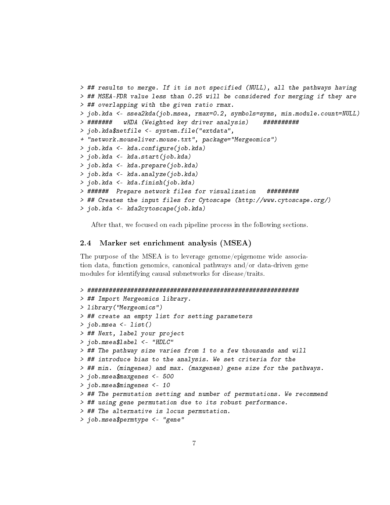```
> ## results to merge. If it is not specified (NULL), all the pathways having
> ## MSEA-FDR value less than 0.25 will be considered for merging if they are
> ## overlapping with the given ratio rmax.
> job.kda <- ssea2kda(job.msea, rmax=0.2, symbols=syms, min.module.count=NULL)
> ####### wKDA (Weighted key driver analysis) ##########
> job.kda$netfile <- system.file("extdata",
+ "network.mouseliver.mouse.txt", package="Mergeomics")
> job.kda <- kda.configure(job.kda)
> job.kda <- kda.start(job.kda)
> job.kda <- kda.prepare(job.kda)
> job.kda <- kda.analyze(job.kda)
> job.kda <- kda.finish(job.kda)
> ###### Prepare network files for visualization #########
> ## Creates the input files for Cytoscape (http://www.cytoscape.org/)
> job.kda <- kda2cytoscape(job.kda)
```
After that, we focused on each pipeline process in the following sections.

#### <span id="page-6-0"></span>2.4 Marker set enrichment analysis (MSEA)

The purpose of the MSEA is to leverage genome/epigenome wide association data, function genomics, canonical pathways and/or data-driven gene modules for identifying causal subnetworks for disease/traits.

```
> ###########################################################
> ## Import Mergeomics library.
> library("Mergeomics")
> ## create an empty list for setting parameters
> job.msea <- list()
> ## Next, label your project
> job.msea$label <- "HDLC"
> ## The pathway size varies from 1 to a few thousands and will
> ## introduce bias to the analysis. We set criteria for the
> ## min. (mingenes) and max. (maxgenes) gene size for the pathways.
> job.msea$maxgenes <- 500
> job.msea$mingenes <- 10
> ## The permutation setting and number of permutations. We recommend
> ## using gene permutation due to its robust performance.
> ## The alternative is locus permutation.
> job.msea$permtype <- "gene"
```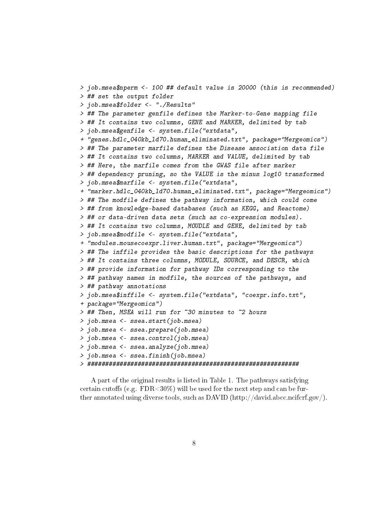```
> job.msea$nperm <- 100 ## default value is 20000 (this is recommended)
> ## set the output folder
> job.msea$folder <- "./Results"
> ## The parameter genfile defines the Marker-to-Gene mapping file
> ## It contains two columns, GENE and MARKER, delimited by tab
> job.msea$genfile <- system.file("extdata",
+ "genes.hdlc_040kb_ld70.human_eliminated.txt", package="Mergeomics")
> ## The parameter marfile defines the Disease association data file
> ## It contains two columns, MARKER and VALUE, delimited by tab
> ## Here, the marfile comes from the GWAS file after marker
> ## dependency pruning, so the VALUE is the minus log10 transformed
> job.msea$marfile <- system.file("extdata",
+ "marker.hdlc_040kb_ld70.human_eliminated.txt", package="Mergeomics")
> ## The modfile defines the pathway information, which could come
> ## from knowledge-based databases (such as KEGG, and Reactome)
> ## or data-driven data sets (such as co-expression modules).
> ## It contains two columns, MOUDLE and GENE, delimited by tab
> job.msea$modfile <- system.file("extdata",
+ "modules.mousecoexpr.liver.human.txt", package="Mergeomics")
> ## The inffile provides the basic descriptions for the pathways
> ## It contains three columns, MODULE, SOURCE, and DESCR, which
> ## provide information for pathway IDs corresponding to the
> ## pathway names in modfile, the sources of the pathways, and
> ## pathway annotations
> job.msea$inffile <- system.file("extdata", "coexpr.info.txt",
+ package="Mergeomics")
> ## Then, MSEA will run for ~30 minutes to ~2 hours
> job.msea <- ssea.start(job.msea)
> job.msea <- ssea.prepare(job.msea)
> job.msea <- ssea.control(job.msea)
> job.msea <- ssea.analyze(job.msea)
> job.msea <- ssea.finish(job.msea)
> ###########################################################
```
A part of the original results is listed in Table 1. The pathways satisfying certain cutoffs (e.g.  $FDR < 30\%$ ) will be used for the next step and can be further annotated using diverse tools, such as DAVID (http://david.abcc.ncifcrf.gov/).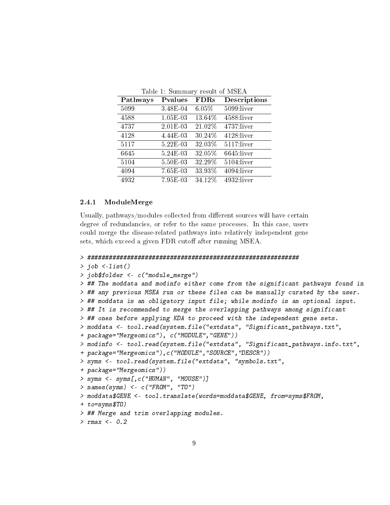| Pathways | Pvalues  | <b>FDRs</b> | Descriptions  |
|----------|----------|-------------|---------------|
| 5099     | 3.48E-04 | 6.05%       | $5099:$ liver |
| 4588     | 1.05E-03 | 13.64%      | 4588:liver    |
| 4737     | 2.01E-03 | 21.02%      | 4737:liver    |
| 4128     | 4.44E-03 | 30.24%      | 4128:liver    |
| 5117     | 5.22E-03 | 32.03%      | $5117$ :liver |
| 6645     | 5.24E-03 | 32.05%      | $6645$ :liver |
| 5104     | 5.50E-03 | 32.29%      | $5104:$ liver |
| 4094     | 7.65E-03 | 33.93%      | 4094:liver    |
| 4932     | 7.95E-03 | 34.12%      | 4932 liver    |

Table 1: Summary result of MSEA

## <span id="page-8-0"></span>2.4.1 ModuleMerge

Usually, pathways/modules collected from different sources will have certain degree of redundancies, or refer to the same processes. In this case, users could merge the disease-related pathways into relatively independent gene sets, which exceed a given FDR cutoff after running MSEA.

#### > ###########################################################

```
> job <-list()
```

```
> job$folder <- c("module_merge")
```

```
> ## The moddata and modinfo either come from the significant pathways found in
> ## any previous MSEA run or these files can be manually curated by the user.
> ## moddata is an obligatory input file; while modinfo is an optional input.
> ## It is recommended to merge the overlapping pathways among significant
> ## ones before applying KDA to proceed with the independent gene sets.
> moddata <- tool.read(system.file("extdata", "Significant_pathways.txt",
+ package="Mergeomics"), c("MODULE","GENE"))
> modinfo <- tool.read(system.file("extdata", "Significant_pathways.info.txt",
+ package="Mergeomics"),c("MODULE","SOURCE","DESCR"))
> syms <- tool.read(system.file("extdata", "symbols.txt",
+ package="Mergeomics"))
> syms <- syms[,c("HUMAN", "MOUSE")]
> names(syms) <- c("FROM", "TO")
> moddata$GENE <- tool.translate(words=moddata$GENE, from=syms$FROM,
+ to=syms$TO)
> ## Merge and trim overlapping modules.
> rmax <-0.2
```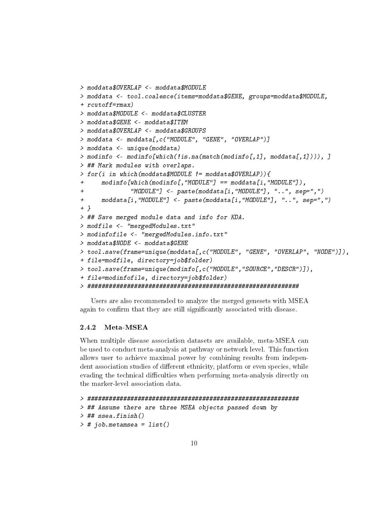```
> moddata$OVERLAP <- moddata$MODULE
> moddata <- tool.coalesce(items=moddata$GENE, groups=moddata$MODULE,
+ rcutoff=rmax)
> moddata$MODULE <- moddata$CLUSTER
> moddata$GENE <- moddata$ITEM
> moddata$OVERLAP <- moddata$GROUPS
> moddata <- moddata[,c("MODULE", "GENE", "OVERLAP")]
> moddata <- unique(moddata)
> modinfo <- modinfo[which(!is.na(match(modinfo[,1], moddata[,1]))), ]
> ## Mark modules with overlaps.
> for(i in which(moddata$MODULE != moddata$OVERLAP)){
+ modinfo[which(modinfo[,"MODULE"] == moddata[i,"MODULE"]),
+ "MODULE"] <- paste(moddata[i,"MODULE"], "..", sep=",")
+ moddata[i,"MODULE"] <- paste(moddata[i,"MODULE"], "..", sep=",")
+ }
> ## Save merged module data and info for KDA.
> modfile <- "mergedModules.txt"
> modinfofile <- "mergedModules.info.txt"
> moddata$NODE <- moddata$GENE
> tool.save(frame=unique(moddata[,c("MODULE", "GENE", "OVERLAP", "NODE")]),
+ file=modfile, directory=job$folder)
> tool.save(frame=unique(modinfo[,c("MODULE","SOURCE","DESCR")]),
+ file=modinfofile, directory=job$folder)
> ###########################################################
```
Users are also recommended to analyze the merged genesets with MSEA again to confirm that they are still significantly associated with disease.

## <span id="page-9-0"></span>2.4.2 Meta-MSEA

When multiple disease association datasets are available, meta-MSEA can be used to conduct meta-analysis at pathway or network level. This function allows user to achieve maximal power by combining results from independent association studies of different ethnicity, platform or even species, while evading the technical difficulties when performing meta-analysis directly on the marker-level association data.

```
> ###########################################################
> ## Assume there are three MSEA objects passed down by
> ## ssea.finish()
> # job.metamsea = list()
```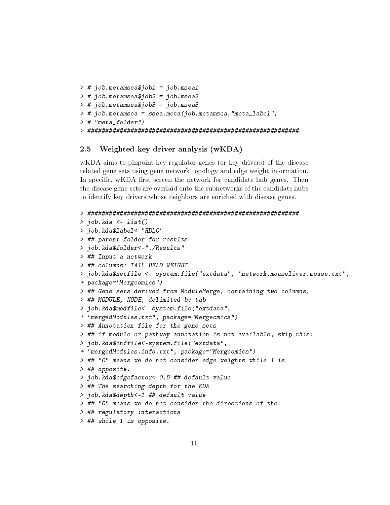```
> # job.metamsea$job1 = job.msea1
> # job.metamsea$job2 = job.msea2
> # job.metamsea$job3 = job.msea3
> # job.metamsea = ssea.meta(job.metamsea,"meta_label",
> # "meta_folder")
> ###########################################################
```
## <span id="page-10-0"></span>2.5 Weighted key driver analysis (wKDA)

wKDA aims to pinpoint key regulator genes (or key drivers) of the disease related gene sets using gene network topology and edge weight information. In specific, wKDA first screen the network for candidate hub genes. Then the disease gene-sets are overlaid onto the subnetworks of the candidate hubs to identify key drivers whose neighbors are enriched with disease genes.

```
> ###########################################################
> job.kda <- list()
> job.kda$label<-"HDLC"
> ## parent folder for results
> job.kda$folder<-"./Results"
> ## Input a network
> ## columns: TAIL HEAD WEIGHT
> job.kda$netfile <- system.file("extdata", "network.mouseliver.mouse.txt",
+ package="Mergeomics")
> ## Gene sets derived from ModuleMerge, containing two columns,
> ## MODULE, NODE, delimited by tab
> job.kda$modfile<- system.file("extdata",
+ "mergedModules.txt", package="Mergeomics")
> ## Annotation file for the gene sets
> ## if module or pathway annotation is not available, skip this:
> job.kda$inffile<-system.file("extdata",
+ "mergedModules.info.txt", package="Mergeomics")
> ## "0" means we do not consider edge weights while 1 is
> ## opposite.
> job.kda$edgefactor<-0.5 ## default value
> ## The searching depth for the KDA
> job.kda$depth<-1 ## default value
> ## "0" means we do not consider the directions of the
> ## regulatory interactions
> ## while 1 is opposite.
```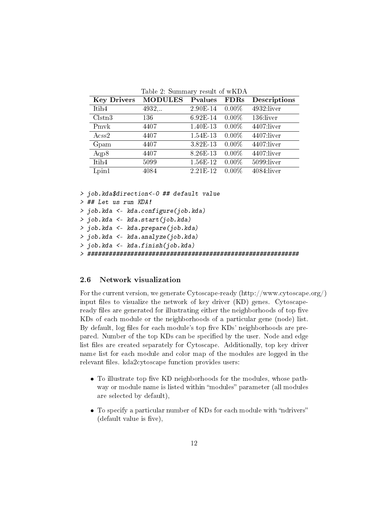| <b>Key Drivers</b> | <b>MODULES</b> | Pvalues  | <b>FDRs</b> | Descriptions  |
|--------------------|----------------|----------|-------------|---------------|
| Itih <sub>4</sub>  | 4932           | 2.90E-14 | $0.00\%$    | 4932 liver    |
| Clstn3             | 136            | 6.92E-14 | $0.00\%$    | 136:liver     |
| Pmvk               | 4407           | 1.40E-13 | $0.00\%$    | 4407:liver    |
| $\rm Acss2$        | 4407           | 1.54E-13 | $0.00\%$    | $4407$ :liver |
| Gpam               | 4407           | 3.82E-13 | $0.00\%$    | $4407$ :liver |
| Aqp8               | 4407           | 8.26E-13 | $0.00\%$    | 4407:liver    |
| Itih <sub>4</sub>  | 5099           | 1.56E-12 | $0.00\%$    | $5099$ :liver |
| Lpin1              | 4084           | 2.21E-12 | $0.00\%$    | $4084$ :liver |

Table 2: Summary result of  $wKD$ 

> job.kda\$direction<-0 ## default value

```
> ## Let us run KDA!
```
> job.kda <- kda.configure(job.kda)

> job.kda <- kda.start(job.kda)

> job.kda <- kda.prepare(job.kda)

> job.kda <- kda.analyze(job.kda)

> job.kda <- kda.finish(job.kda)

> ###########################################################

## <span id="page-11-0"></span>2.6 Network visualization

For the current version, we generate Cytoscape-ready (http://www.cytoscape.org/) input files to visualize the network of key driver  $(KD)$  genes. Cytoscapeready files are generated for illustrating either the neighborhoods of top five KDs of each module or the neighborhoods of a particular gene (node) list. By default, log files for each module's top five KDs' neighborhoods are prepared. Number of the top KDs can be specified by the user. Node and edge list files are created separately for Cytoscape. Additionally, top key driver name list for each module and color map of the modules are logged in the relevant files. kda2cytoscape function provides users:

- $\bullet$  To illustrate top five KD neighborhoods for the modules, whose pathway or module name is listed within "modules" parameter (all modules are selected by default),
- $\bullet$  To specify a particular number of KDs for each module with "ndrivers"  $(\text{default value is five}),$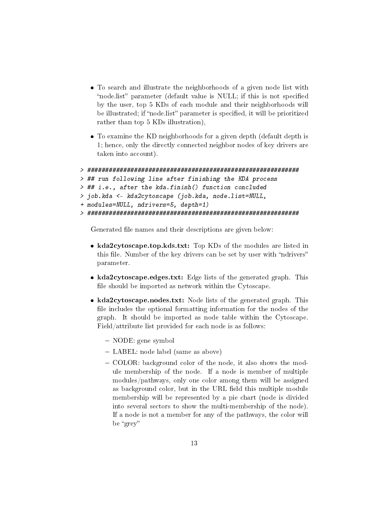- To search and illustrate the neighborhoods of a given node list with "node.list" parameter (default value is NULL; if this is not specified by the user, top 5 KDs of each module and their neighborhoods will be illustrated; if "node list" parameter is specified, it will be prioritized rather than top 5 KDs illustration),
- To examine the KD neighborhoods for a given depth (default depth is 1; hence, only the directly connected neighbor nodes of key drivers are taken into account).

```
> ###########################################################
> ## run following line after finishing the KDA process
> ## i.e., after the kda.finish() function concluded
> job.kda <- kda2cytoscape (job.kda, node.list=NULL,
+ modules=NULL, ndrivers=5, depth=1)
> ###########################################################
```
Generated file names and their descriptions are given below:

- kda2cytoscape.top.kds.txt: Top KDs of the modules are listed in this file. Number of the key drivers can be set by user with "ndrivers" parameter.
- kda2cytoscape.edges.txt: Edge lists of the generated graph. This file should be imported as network within the Cytoscape.
- kda2cytoscape.nodes.txt: Node lists of the generated graph. This file includes the optional formatting information for the nodes of the graph. It should be imported as node table within the Cytoscape. Field/attribute list provided for each node is as follows:
	- NODE: gene symbol
	- LABEL: node label (same as above)
	- COLOR: background color of the node, it also shows the module membership of the node. If a node is member of multiple modules/pathways, only one color among them will be assigned as background color, but in the URL field this multiple module membership will be represented by a pie chart (node is divided into several sectors to show the multi-membership of the node). If a node is not a member for any of the pathways, the color will be "grey"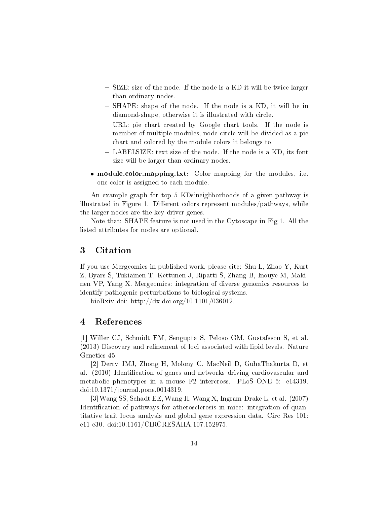- SIZE: size of the node. If the node is a KD it will be twice larger than ordinary nodes.
- SHAPE: shape of the node. If the node is a KD, it will be in diamond-shape, otherwise it is illustrated with circle.
- URL: pie chart created by Google chart tools. If the node is member of multiple modules, node circle will be divided as a pie chart and colored by the module colors it belongs to
- LABELSIZE: text size of the node. If the node is a KD, its font size will be larger than ordinary nodes.
- module.color.mapping.txt: Color mapping for the modules, i.e. one color is assigned to each module.

An example graph for top 5 KDs'neighborhoods of a given pathway is illustrated in Figure 1. Different colors represent modules/pathways, while the larger nodes are the key driver genes.

Note that: SHAPE feature is not used in the Cytoscape in Fig 1. All the listed attributes for nodes are optional.

## <span id="page-13-0"></span>3 Citation

If you use Mergeomics in published work, please cite: Shu L, Zhao Y, Kurt Z, Byars S, Tukiainen T, Kettunen J, Ripatti S, Zhang B, Inouye M, Makinen VP, Yang X. Mergeomics: integration of diverse genomics resources to identify pathogenic perturbations to biological systems.

bioRxiv doi: http://dx.doi.org/10.1101/036012.

## <span id="page-13-1"></span>4 References

[1] Willer CJ, Schmidt EM, Sengupta S, Peloso GM, Gustafsson S, et al. (2013) Discovery and refinement of loci associated with lipid levels. Nature Genetics 45.

[2] Derry JMJ, Zhong H, Molony C, MacNeil D, GuhaThakurta D, et al. (2010) Identification of genes and networks driving cardiovascular and metabolic phenotypes in a mouse F2 intercross. PLoS ONE 5: e14319. doi:10.1371/journal.pone.0014319.

[3] Wang SS, Schadt EE, Wang H, Wang X, Ingram-Drake L, et al. (2007) Identification of pathways for atherosclerosis in mice: integration of quantitative trait locus analysis and global gene expression data. Circ Res 101: e11-e30. doi:10.1161/CIRCRESAHA.107.152975.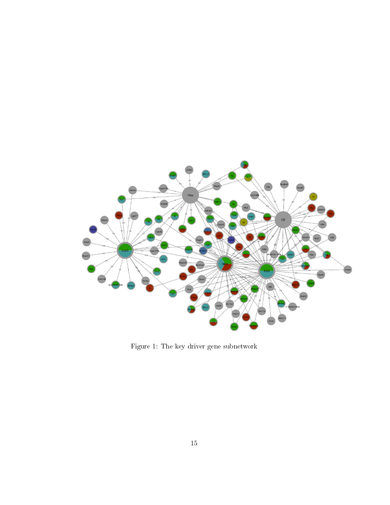

Figure 1: The key driver gene subnetwork